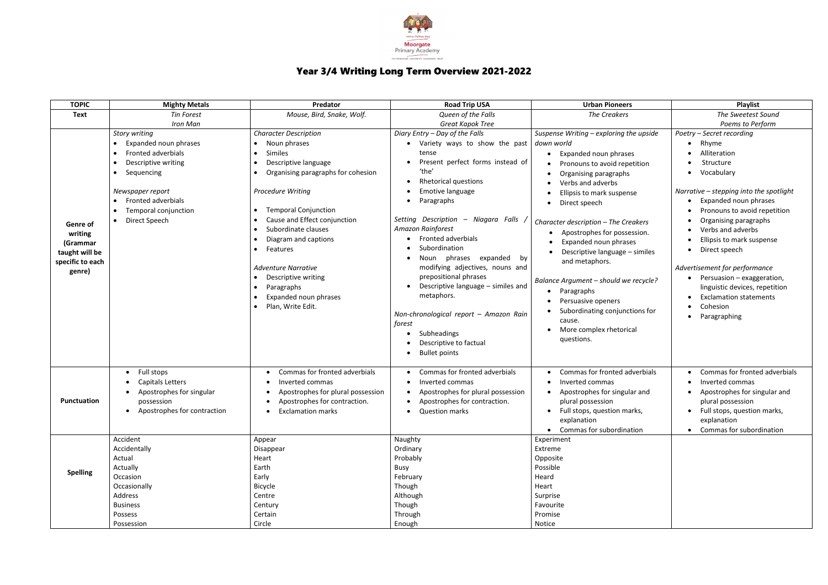

## Year 3/4 Writing Long Term Overview 2021-2022

| <b>TOPIC</b>                                                                    | <b>Mighty Metals</b>                                                                                                                                                                                                                      | Predator                                                                                                                                                                                                                                                                                                                                                                                                                                                                                      | <b>Road Trip USA</b>                                                                                                                                                                                                                                                                                                                                                                                                                                                                                                                                                                          | <b>Urban Pioneers</b>                                                                                                                                                                                                                                                                                                                                                                                                                                                                                                            | Playlist                                                                                                                                                                                                                                                                                                                                                                                                                                                        |
|---------------------------------------------------------------------------------|-------------------------------------------------------------------------------------------------------------------------------------------------------------------------------------------------------------------------------------------|-----------------------------------------------------------------------------------------------------------------------------------------------------------------------------------------------------------------------------------------------------------------------------------------------------------------------------------------------------------------------------------------------------------------------------------------------------------------------------------------------|-----------------------------------------------------------------------------------------------------------------------------------------------------------------------------------------------------------------------------------------------------------------------------------------------------------------------------------------------------------------------------------------------------------------------------------------------------------------------------------------------------------------------------------------------------------------------------------------------|----------------------------------------------------------------------------------------------------------------------------------------------------------------------------------------------------------------------------------------------------------------------------------------------------------------------------------------------------------------------------------------------------------------------------------------------------------------------------------------------------------------------------------|-----------------------------------------------------------------------------------------------------------------------------------------------------------------------------------------------------------------------------------------------------------------------------------------------------------------------------------------------------------------------------------------------------------------------------------------------------------------|
| <b>Text</b>                                                                     | <b>Tin Forest</b>                                                                                                                                                                                                                         | Mouse, Bird, Snake, Wolf.                                                                                                                                                                                                                                                                                                                                                                                                                                                                     | Queen of the Falls                                                                                                                                                                                                                                                                                                                                                                                                                                                                                                                                                                            | <b>The Creakers</b>                                                                                                                                                                                                                                                                                                                                                                                                                                                                                                              | The Sweetest Sound                                                                                                                                                                                                                                                                                                                                                                                                                                              |
|                                                                                 |                                                                                                                                                                                                                                           |                                                                                                                                                                                                                                                                                                                                                                                                                                                                                               |                                                                                                                                                                                                                                                                                                                                                                                                                                                                                                                                                                                               |                                                                                                                                                                                                                                                                                                                                                                                                                                                                                                                                  |                                                                                                                                                                                                                                                                                                                                                                                                                                                                 |
| Genre of<br>writing<br>(Grammar<br>taught will be<br>specific to each<br>genre) | <b>Iron Man</b><br><b>Story writing</b><br><b>Expanded noun phrases</b><br>$\bullet$<br>Fronted adverbials<br>Descriptive writing<br>Sequencing<br>Newspaper report<br><b>Fronted adverbials</b><br>Temporal conjunction<br>Direct Speech | <b>Character Description</b><br>Noun phrases<br>Similes<br>$\bullet$<br>Descriptive language<br>$\bullet$<br>Organising paragraphs for cohesion<br>Procedure Writing<br><b>Temporal Conjunction</b><br>$\bullet$<br>Cause and Effect conjunction<br>Subordinate clauses<br>$\bullet$<br>Diagram and captions<br>Features<br>$\bullet$<br><b>Adventure Narrative</b><br>Descriptive writing<br>$\bullet$<br>Paragraphs<br>$\bullet$<br>Expanded noun phrases<br>Plan, Write Edit.<br>$\bullet$ | Great Kapok Tree<br>Diary Entry - Day of the Falls<br>• Variety ways to show the past<br>tense<br>Present perfect forms instead of<br>'the'<br><b>Rhetorical questions</b><br>Emotive language<br>Paragraphs<br>Setting Description - Niagara Falls<br>Amazon Rainforest<br><b>Fronted adverbials</b><br>Subordination<br>Noun phrases<br>expanded<br>by<br>modifying adjectives, nouns and<br>prepositional phrases<br>Descriptive language - similes and<br>metaphors.<br>Non-chronological report - Amazon Rain<br>forest<br>Subheadings<br>Descriptive to factual<br><b>Bullet points</b> | Suspense Writing - exploring the upside<br>down world<br>Expanded noun phrases<br>Pronouns to avoid repetition<br>Organising paragraphs<br>Verbs and adverbs<br>Ellipsis to mark suspense<br>Direct speech<br>Character description - The Creakers<br>Apostrophes for possession.<br>Expanded noun phrases<br>Descriptive language - similes<br>and metaphors.<br>Balance Argument - should we recycle?<br>Paragraphs<br>Persuasive openers<br>Subordinating conjunctions for<br>cause.<br>More complex rhetorical<br>questions. | Poems to Perform<br>Poetry - Secret recording<br>Rhyme<br>Alliteration<br>Structure<br>Vocabulary<br>Narrative – stepping into the spotlight<br>Expanded noun phrases<br>Pronouns to avoid repetition<br>Organising paragraphs<br>Verbs and adverbs<br>Ellipsis to mark suspense<br>Direct speech<br>Advertisement for performance<br>Persuasion - exaggeration,<br>linguistic devices, repetition<br><b>Exclamation statements</b><br>Cohesion<br>Paragraphing |
| Punctuation                                                                     | Full stops<br>Capitals Letters<br>Apostrophes for singular<br>possession<br>• Apostrophes for contraction<br>Accident<br>Accidentally<br>Actual                                                                                           | Commas for fronted adverbials<br>Inverted commas<br>Apostrophes for plural possession<br>Apostrophes for contraction.<br><b>Exclamation marks</b><br>$\bullet$<br>Appear<br>Disappear<br>Heart                                                                                                                                                                                                                                                                                                | Commas for fronted adverbials<br>Inverted commas<br>Apostrophes for plural possession<br>Apostrophes for contraction.<br><b>Question marks</b><br>$\bullet$<br>Naughty<br>Ordinary<br>Probably                                                                                                                                                                                                                                                                                                                                                                                                | Commas for fronted adverbials<br>Inverted commas<br>Apostrophes for singular and<br>plural possession<br>• Full stops, question marks,<br>explanation<br>• Commas for subordination<br>Experiment<br>Extreme<br>Opposite                                                                                                                                                                                                                                                                                                         | Commas for fronted adverbials<br>Inverted commas<br>Apostrophes for singular and<br>plural possession<br>• Full stops, question marks,<br>explanation<br>• Commas for subordination                                                                                                                                                                                                                                                                             |
| <b>Spelling</b>                                                                 | Actually<br>Occasion<br>Occasionally<br>Address<br><b>Business</b><br>Possess<br>Possession                                                                                                                                               | Earth<br>Early<br>Bicycle<br>Centre<br>Century<br>Certain<br>Circle                                                                                                                                                                                                                                                                                                                                                                                                                           | Busy<br>February<br>Though<br>Although<br>Though<br>Through<br>Enough                                                                                                                                                                                                                                                                                                                                                                                                                                                                                                                         | Possible<br>Heard<br>Heart<br>Surprise<br>Favourite<br>Promise<br>Notice                                                                                                                                                                                                                                                                                                                                                                                                                                                         |                                                                                                                                                                                                                                                                                                                                                                                                                                                                 |